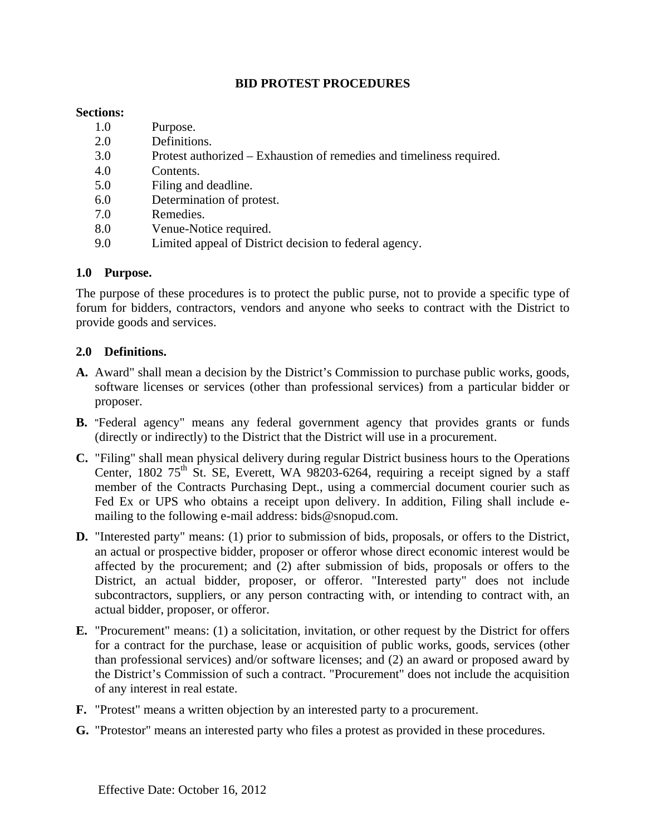# **BID PROTEST PROCEDURES**

#### **Sections:**

- 1.0 Purpose.
- 2.0 Definitions.
- 3.0 Protest authorized Exhaustion of remedies and timeliness required.
- 4.0 Contents.
- 5.0 Filing and deadline.
- 6.0 Determination of protest.
- 7.0 Remedies.
- 8.0 Venue-Notice required.
- 9.0 Limited appeal of District decision to federal agency.

### **1.0 Purpose.**

The purpose of these procedures is to protect the public purse, not to provide a specific type of forum for bidders, contractors, vendors and anyone who seeks to contract with the District to provide goods and services.

### **2.0 Definitions.**

- **A.** Award" shall mean a decision by the District's Commission to purchase public works, goods, software licenses or services (other than professional services) from a particular bidder or proposer.
- **B.** "Federal agency" means any federal government agency that provides grants or funds (directly or indirectly) to the District that the District will use in a procurement.
- **C.** "Filing" shall mean physical delivery during regular District business hours to the Operations Center, 1802  $75<sup>th</sup>$  St. SE, Everett, WA 98203-6264, requiring a receipt signed by a staff member of the Contracts Purchasing Dept., using a commercial document courier such as Fed Ex or UPS who obtains a receipt upon delivery. In addition, Filing shall include emailing to the following e-mail address: bids@snopud.com.
- **D.** "Interested party" means: (1) prior to submission of bids, proposals, or offers to the District, an actual or prospective bidder, proposer or offeror whose direct economic interest would be affected by the procurement; and (2) after submission of bids, proposals or offers to the District, an actual bidder, proposer, or offeror. "Interested party" does not include subcontractors, suppliers, or any person contracting with, or intending to contract with, an actual bidder, proposer, or offeror.
- **E.** "Procurement" means: (1) a solicitation, invitation, or other request by the District for offers for a contract for the purchase, lease or acquisition of public works, goods, services (other than professional services) and/or software licenses; and (2) an award or proposed award by the District's Commission of such a contract. "Procurement" does not include the acquisition of any interest in real estate.
- **F.** "Protest" means a written objection by an interested party to a procurement.
- **G.** "Protestor" means an interested party who files a protest as provided in these procedures.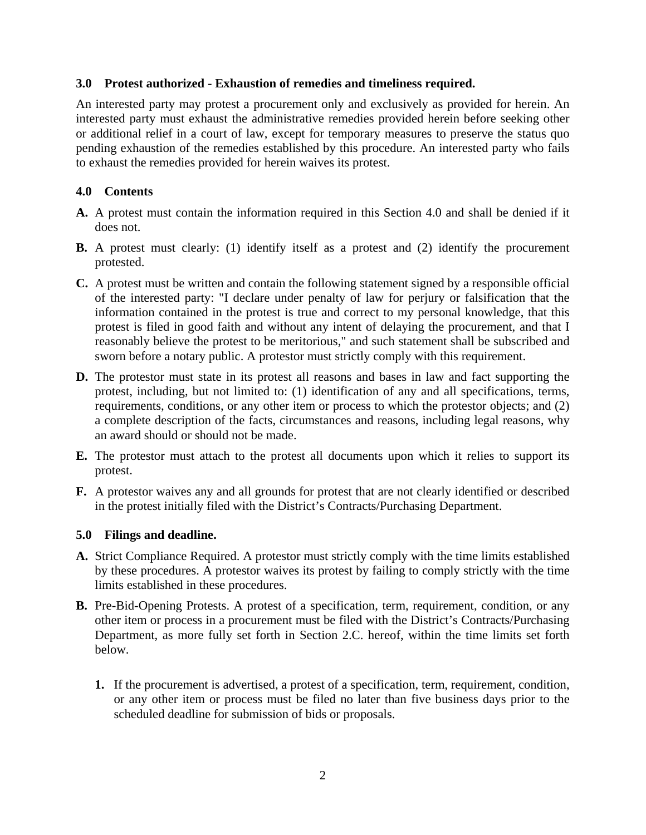### **3.0 Protest authorized - Exhaustion of remedies and timeliness required.**

An interested party may protest a procurement only and exclusively as provided for herein. An interested party must exhaust the administrative remedies provided herein before seeking other or additional relief in a court of law, except for temporary measures to preserve the status quo pending exhaustion of the remedies established by this procedure. An interested party who fails to exhaust the remedies provided for herein waives its protest.

### **4.0 Contents**

- **A.** A protest must contain the information required in this Section 4.0 and shall be denied if it does not.
- **B.** A protest must clearly: (1) identify itself as a protest and (2) identify the procurement protested.
- **C.** A protest must be written and contain the following statement signed by a responsible official of the interested party: "I declare under penalty of law for perjury or falsification that the information contained in the protest is true and correct to my personal knowledge, that this protest is filed in good faith and without any intent of delaying the procurement, and that I reasonably believe the protest to be meritorious," and such statement shall be subscribed and sworn before a notary public. A protestor must strictly comply with this requirement.
- **D.** The protestor must state in its protest all reasons and bases in law and fact supporting the protest, including, but not limited to: (1) identification of any and all specifications, terms, requirements, conditions, or any other item or process to which the protestor objects; and (2) a complete description of the facts, circumstances and reasons, including legal reasons, why an award should or should not be made.
- **E.** The protestor must attach to the protest all documents upon which it relies to support its protest.
- **F.** A protestor waives any and all grounds for protest that are not clearly identified or described in the protest initially filed with the District's Contracts/Purchasing Department.

### **5.0 Filings and deadline.**

- **A.** Strict Compliance Required. A protestor must strictly comply with the time limits established by these procedures. A protestor waives its protest by failing to comply strictly with the time limits established in these procedures.
- **B.** Pre-Bid-Opening Protests. A protest of a specification, term, requirement, condition, or any other item or process in a procurement must be filed with the District's Contracts/Purchasing Department, as more fully set forth in Section 2.C. hereof, within the time limits set forth below.
	- **1.** If the procurement is advertised, a protest of a specification, term, requirement, condition, or any other item or process must be filed no later than five business days prior to the scheduled deadline for submission of bids or proposals.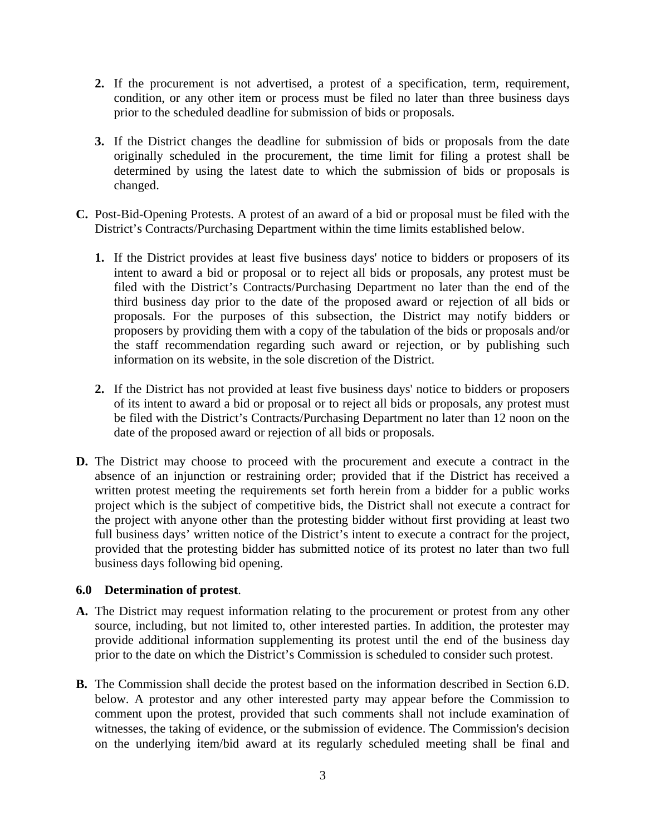- **2.** If the procurement is not advertised, a protest of a specification, term, requirement, condition, or any other item or process must be filed no later than three business days prior to the scheduled deadline for submission of bids or proposals.
- **3.** If the District changes the deadline for submission of bids or proposals from the date originally scheduled in the procurement, the time limit for filing a protest shall be determined by using the latest date to which the submission of bids or proposals is changed.
- **C.** Post-Bid-Opening Protests. A protest of an award of a bid or proposal must be filed with the District's Contracts/Purchasing Department within the time limits established below.
	- **1.** If the District provides at least five business days' notice to bidders or proposers of its intent to award a bid or proposal or to reject all bids or proposals, any protest must be filed with the District's Contracts/Purchasing Department no later than the end of the third business day prior to the date of the proposed award or rejection of all bids or proposals. For the purposes of this subsection, the District may notify bidders or proposers by providing them with a copy of the tabulation of the bids or proposals and/or the staff recommendation regarding such award or rejection, or by publishing such information on its website, in the sole discretion of the District.
	- **2.** If the District has not provided at least five business days' notice to bidders or proposers of its intent to award a bid or proposal or to reject all bids or proposals, any protest must be filed with the District's Contracts/Purchasing Department no later than 12 noon on the date of the proposed award or rejection of all bids or proposals.
- **D.** The District may choose to proceed with the procurement and execute a contract in the absence of an injunction or restraining order; provided that if the District has received a written protest meeting the requirements set forth herein from a bidder for a public works project which is the subject of competitive bids, the District shall not execute a contract for the project with anyone other than the protesting bidder without first providing at least two full business days' written notice of the District's intent to execute a contract for the project, provided that the protesting bidder has submitted notice of its protest no later than two full business days following bid opening.

### **6.0 Determination of protest**.

- **A.** The District may request information relating to the procurement or protest from any other source, including, but not limited to, other interested parties. In addition, the protester may provide additional information supplementing its protest until the end of the business day prior to the date on which the District's Commission is scheduled to consider such protest.
- **B.** The Commission shall decide the protest based on the information described in Section 6.D. below. A protestor and any other interested party may appear before the Commission to comment upon the protest, provided that such comments shall not include examination of witnesses, the taking of evidence, or the submission of evidence. The Commission's decision on the underlying item/bid award at its regularly scheduled meeting shall be final and